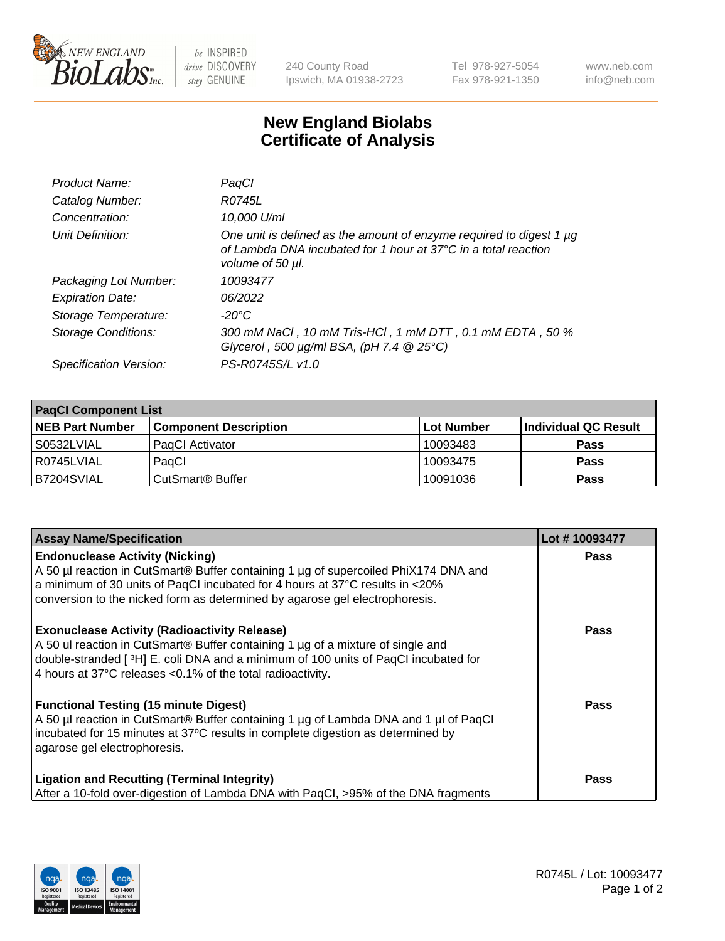

 $be$  INSPIRED drive DISCOVERY stay GENUINE

240 County Road Ipswich, MA 01938-2723 Tel 978-927-5054 Fax 978-921-1350 www.neb.com info@neb.com

## **New England Biolabs Certificate of Analysis**

| Product Name:           | PaqCl                                                                                                                                                               |
|-------------------------|---------------------------------------------------------------------------------------------------------------------------------------------------------------------|
| Catalog Number:         | R0745L                                                                                                                                                              |
| Concentration:          | 10.000 U/ml                                                                                                                                                         |
| Unit Definition:        | One unit is defined as the amount of enzyme required to digest 1 µg<br>of Lambda DNA incubated for 1 hour at $37^{\circ}$ C in a total reaction<br>volume of 50 µl. |
| Packaging Lot Number:   | 10093477                                                                                                                                                            |
| <b>Expiration Date:</b> | 06/2022                                                                                                                                                             |
| Storage Temperature:    | $-20^{\circ}$ C                                                                                                                                                     |
| Storage Conditions:     | 300 mM NaCl, 10 mM Tris-HCl, 1 mM DTT, 0.1 mM EDTA, 50 %<br>Glycerol, 500 $\mu$ g/ml BSA, (pH 7.4 $@25°C$ )                                                         |
| Specification Version:  | PS-R0745S/L v1.0                                                                                                                                                    |

| <b>PagCI Component List</b> |                              |            |                      |  |  |
|-----------------------------|------------------------------|------------|----------------------|--|--|
| <b>NEB Part Number</b>      | <b>Component Description</b> | Lot Number | Individual QC Result |  |  |
| S0532LVIAL                  | PagCl Activator              | 10093483   | <b>Pass</b>          |  |  |
| R0745LVIAL                  | PagCl                        | 10093475   | <b>Pass</b>          |  |  |
| B7204SVIAL                  | CutSmart® Buffer             | 10091036   | <b>Pass</b>          |  |  |

| <b>Assay Name/Specification</b>                                                                                                                                                                                                                                                              | Lot #10093477 |
|----------------------------------------------------------------------------------------------------------------------------------------------------------------------------------------------------------------------------------------------------------------------------------------------|---------------|
| <b>Endonuclease Activity (Nicking)</b><br>A 50 µl reaction in CutSmart® Buffer containing 1 µg of supercoiled PhiX174 DNA and<br>a minimum of 30 units of PaqCI incubated for 4 hours at 37°C results in <20%<br>conversion to the nicked form as determined by agarose gel electrophoresis. | <b>Pass</b>   |
| <b>Exonuclease Activity (Radioactivity Release)</b><br>A 50 ul reaction in CutSmart® Buffer containing 1 µg of a mixture of single and<br>double-stranded [3H] E. coli DNA and a minimum of 100 units of PaqCl incubated for<br>4 hours at 37°C releases <0.1% of the total radioactivity.   | <b>Pass</b>   |
| <b>Functional Testing (15 minute Digest)</b><br>A 50 µl reaction in CutSmart® Buffer containing 1 µg of Lambda DNA and 1 µl of PaqCl<br>incubated for 15 minutes at 37°C results in complete digestion as determined by<br>agarose gel electrophoresis.                                      | <b>Pass</b>   |
| <b>Ligation and Recutting (Terminal Integrity)</b><br>After a 10-fold over-digestion of Lambda DNA with PagCl, >95% of the DNA fragments                                                                                                                                                     | Pass          |